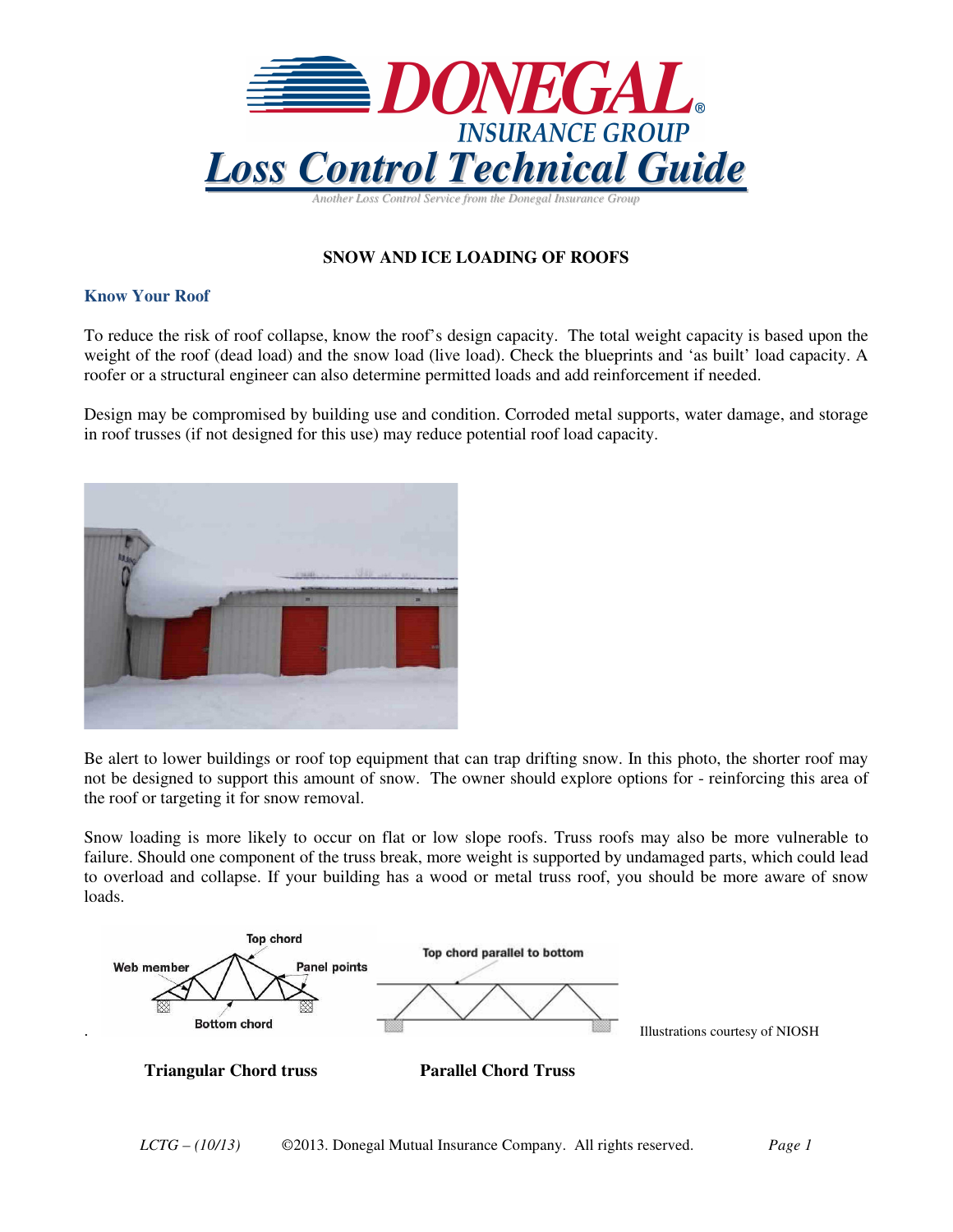

# **SNOW AND ICE LOADING OF ROOFS**

## **Know Your Roof**

To reduce the risk of roof collapse, know the roof's design capacity. The total weight capacity is based upon the weight of the roof (dead load) and the snow load (live load). Check the blueprints and 'as built' load capacity. A roofer or a structural engineer can also determine permitted loads and add reinforcement if needed.

Design may be compromised by building use and condition. Corroded metal supports, water damage, and storage in roof trusses (if not designed for this use) may reduce potential roof load capacity.



Be alert to lower buildings or roof top equipment that can trap drifting snow. In this photo, the shorter roof may not be designed to support this amount of snow. The owner should explore options for - reinforcing this area of the roof or targeting it for snow removal.

Snow loading is more likely to occur on flat or low slope roofs. Truss roofs may also be more vulnerable to failure. Should one component of the truss break, more weight is supported by undamaged parts, which could lead to overload and collapse. If your building has a wood or metal truss roof, you should be more aware of snow loads.



**Triangular Chord truss Parallel Chord Truss**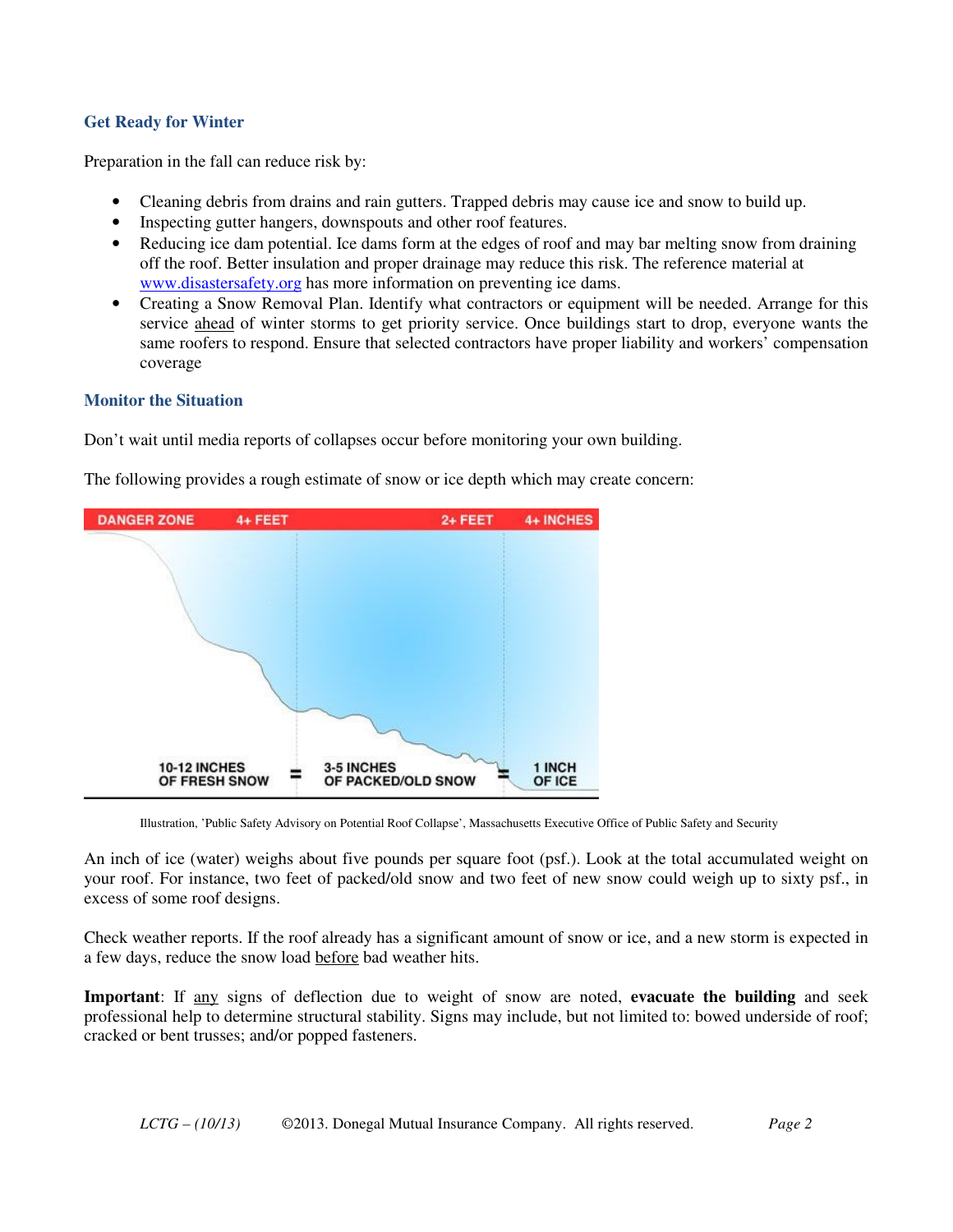### **Get Ready for Winter**

Preparation in the fall can reduce risk by:

- Cleaning debris from drains and rain gutters. Trapped debris may cause ice and snow to build up.
- Inspecting gutter hangers, downspouts and other roof features.
- Reducing ice dam potential. Ice dams form at the edges of roof and may bar melting snow from draining off the roof. Better insulation and proper drainage may reduce this risk. The reference material at www.disastersafety.org has more information on preventing ice dams.
- Creating a Snow Removal Plan. Identify what contractors or equipment will be needed. Arrange for this service ahead of winter storms to get priority service. Once buildings start to drop, everyone wants the same roofers to respond. Ensure that selected contractors have proper liability and workers' compensation coverage

#### **Monitor the Situation**

Don't wait until media reports of collapses occur before monitoring your own building.

The following provides a rough estimate of snow or ice depth which may create concern:



Illustration, 'Public Safety Advisory on Potential Roof Collapse', Massachusetts Executive Office of Public Safety and Security

An inch of ice (water) weighs about five pounds per square foot (psf.). Look at the total accumulated weight on your roof. For instance, two feet of packed/old snow and two feet of new snow could weigh up to sixty psf., in excess of some roof designs.

Check weather reports. If the roof already has a significant amount of snow or ice, and a new storm is expected in a few days, reduce the snow load before bad weather hits.

**Important**: If any signs of deflection due to weight of snow are noted, **evacuate the building** and seek professional help to determine structural stability. Signs may include, but not limited to: bowed underside of roof; cracked or bent trusses; and/or popped fasteners.